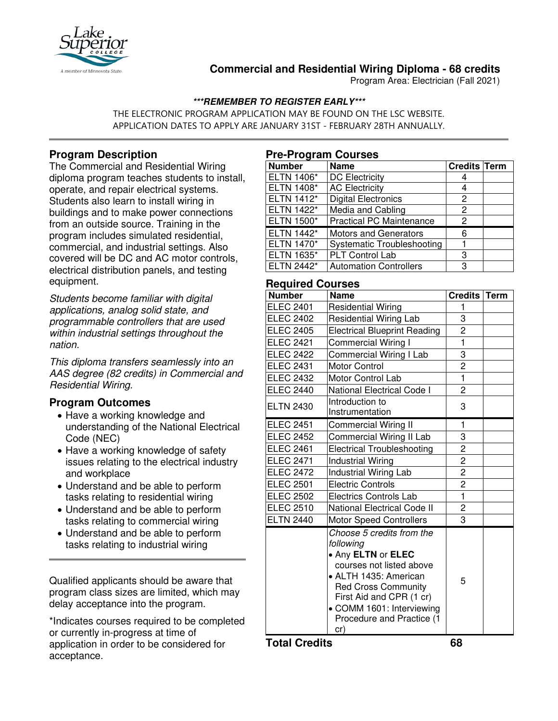

# **Commercial and Residential Wiring Diploma - 68 credits**

Program Area: Electrician (Fall 2021)

### **\*\*\*REMEMBER TO REGISTER EARLY\*\*\***

THE ELECTRONIC PROGRAM APPLICATION MAY BE FOUND ON THE LSC WEBSITE. APPLICATION DATES TO APPLY ARE JANUARY 31ST - FEBRUARY 28TH ANNUALLY.

# **Program Description**

The Commercial and Residential Wiring diploma program teaches students to install, operate, and repair electrical systems. Students also learn to install wiring in buildings and to make power connections from an outside source. Training in the program includes simulated residential, commercial, and industrial settings. Also covered will be DC and AC motor controls, electrical distribution panels, and testing equipment.

*Students become familiar with digital applications, analog solid state, and programmable controllers that are used within industrial settings throughout the nation.*

*This diploma transfers seamlessly into an AAS degree (82 credits) in Commercial and Residential Wiring.*

## **Program Outcomes**

- Have a working knowledge and understanding of the National Electrical Code (NEC)
- Have a working knowledge of safety issues relating to the electrical industry and workplace
- Understand and be able to perform tasks relating to residential wiring
- Understand and be able to perform tasks relating to commercial wiring
- Understand and be able to perform tasks relating to industrial wiring

Qualified applicants should be aware that program class sizes are limited, which may delay acceptance into the program.

\*Indicates courses required to be completed or currently in-progress at time of application in order to be considered for acceptance.

#### **Pre-Program Courses**

| <b>Number</b>     | <b>Name</b>                       | <b>Credits Term</b> |  |
|-------------------|-----------------------------------|---------------------|--|
| ELTN 1406*        | <b>DC Electricity</b>             |                     |  |
| ELTN 1408*        | <b>AC Electricity</b>             | 4                   |  |
| ELTN 1412*        | <b>Digital Electronics</b>        | 2                   |  |
| ELTN 1422*        | Media and Cabling                 | 2                   |  |
| <b>ELTN 1500*</b> | <b>Practical PC Maintenance</b>   | 2                   |  |
| <b>ELTN 1442*</b> | <b>Motors and Generators</b>      | 6                   |  |
| ELTN 1470*        | <b>Systematic Troubleshooting</b> |                     |  |
| ELTN 1635*        | PLT Control Lab                   | 3                   |  |
| ELTN 2442*        | <b>Automation Controllers</b>     | 3                   |  |

### **Required Courses**

| <b>Number</b>    | <b>Name</b>                                                                                                                                                                                                                                  | Credits Term   |  |
|------------------|----------------------------------------------------------------------------------------------------------------------------------------------------------------------------------------------------------------------------------------------|----------------|--|
| <b>ELEC 2401</b> | <b>Residential Wiring</b>                                                                                                                                                                                                                    | 1              |  |
| <b>ELEC 2402</b> | <b>Residential Wiring Lab</b>                                                                                                                                                                                                                | 3              |  |
| <b>ELEC 2405</b> | <b>Electrical Blueprint Reading</b>                                                                                                                                                                                                          | $\overline{c}$ |  |
| <b>ELEC 2421</b> | <b>Commercial Wiring I</b>                                                                                                                                                                                                                   | $\mathbf{1}$   |  |
| <b>ELEC 2422</b> | Commercial Wiring I Lab                                                                                                                                                                                                                      | 3              |  |
| <b>ELEC 2431</b> | <b>Motor Control</b>                                                                                                                                                                                                                         | $\overline{2}$ |  |
| <b>ELEC 2432</b> | Motor Control Lab                                                                                                                                                                                                                            | $\mathbf{1}$   |  |
| <b>ELEC 2440</b> | National Electrical Code I                                                                                                                                                                                                                   | $\overline{2}$ |  |
| <b>ELTN 2430</b> | Introduction to<br>Instrumentation                                                                                                                                                                                                           | 3              |  |
| <b>ELEC 2451</b> | Commercial Wiring II                                                                                                                                                                                                                         | 1              |  |
| <b>ELEC 2452</b> | Commercial Wiring II Lab                                                                                                                                                                                                                     | 3              |  |
| <b>ELEC 2461</b> | <b>Electrical Troubleshooting</b>                                                                                                                                                                                                            | $\overline{2}$ |  |
| <b>ELEC 2471</b> | <b>Industrial Wiring</b>                                                                                                                                                                                                                     | $\overline{c}$ |  |
| <b>ELEC 2472</b> | <b>Industrial Wiring Lab</b>                                                                                                                                                                                                                 | $\overline{c}$ |  |
| <b>ELEC 2501</b> | <b>Electric Controls</b>                                                                                                                                                                                                                     | 2              |  |
| <b>ELEC 2502</b> | <b>Electrics Controls Lab</b>                                                                                                                                                                                                                | $\mathbf{1}$   |  |
| <b>ELEC 2510</b> | <b>National Electrical Code II</b>                                                                                                                                                                                                           | $\overline{c}$ |  |
| <b>ELTN 2440</b> | <b>Motor Speed Controllers</b>                                                                                                                                                                                                               | 3              |  |
|                  | Choose 5 credits from the<br>following<br>• Any ELTN or ELEC<br>courses not listed above<br>• ALTH 1435: American<br><b>Red Cross Community</b><br>First Aid and CPR (1 cr)<br>• COMM 1601: Interviewing<br>Procedure and Practice (1<br>cr) | 5              |  |

**Total Credits 68**